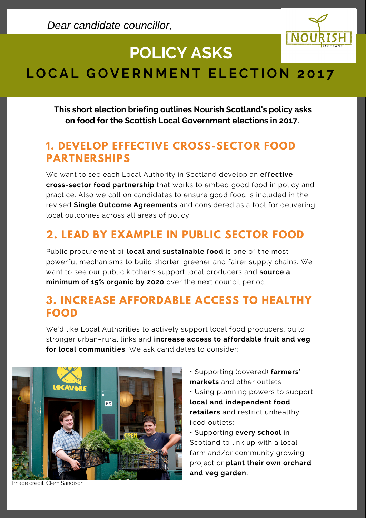

# **POLICY ASKS**

## LOCAL GOVERNMENT ELECTION 2017

**This short election briefing outlines Nourish Scotland's policy asks on food for the Scottish Local Government elections in 2017..**

#### **1. DEVELOP EFFECTIVE CROSS-SECTOR FOOD PARTNERSHIPS**

We want to see each Local Authority in Scotland develop an **effective cross-sector food partnership** that works to embed good food in policy and practice. Also we call on candidates to ensure good food is included in the **The second state of the semi-measure is shown good foculty in the angle of the state of the state of the state of the state of the state of the state of the state of the state of the state of the state of the state of the** local outcomes across all areas of policy. **November 25, 2019**

### **2. LEAD BY EXAMPLE IN PUBLIC SECTOR FOOD**

Public procurement of **local and sustainable food** is one of the most powerful mechanisms to build shorter, greener and fairer supply chains. We want to see our public kitchens support local producers and **source a minimum of 15% organic by 2020** over the next council period.

#### **3. INCREASE AFFORDABLE ACCESS TO HEALTHY FOOD**

We'd like Local Authorities to actively support local food producers, build stronger urban–rural links and **increase access to affordable fruit and veg for local communities**. We ask candidates to consider:



• Supporting (covered) **farmers' markets** and other outlets • Using planning powers to support **local and independent food retailers** and restrict unhealthy food outlets; • Supporting **every school** in

Scotland to link up with a local farm and/or community growing project or **plant their own orchard and veg garden.**

Image credit: Clem Sandison